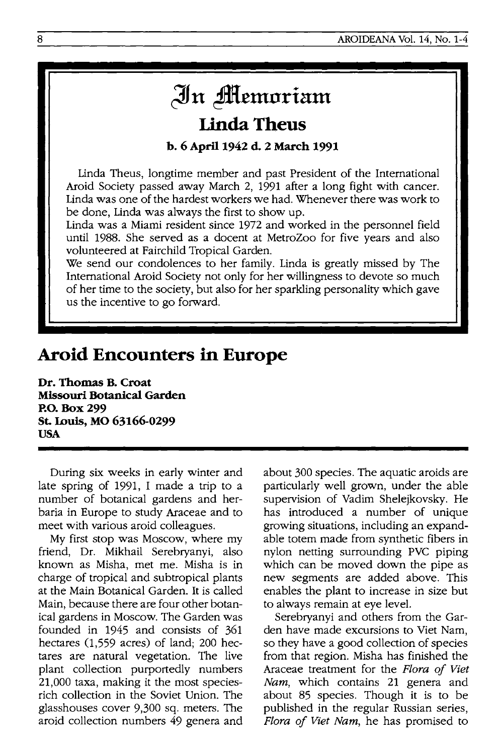## In **Memoriam**

## **Linda Theus**

**b. 6** April 1942 **d. 2 March 1991** 

Linda Theus, longtime member and past President of the International Aroid Society passed away March 2, 1991 after a long fight with cancer. Linda was one of the hardest workers we had. Whenever there was work to be done, Linda was always the first to show up.

Linda was a Miami resident since 1972 and worked in the personnel field until 1988. She served as a docent at MetroZoo for five years and also volunteered at Fairchild Tropical Garden.

We send our condolences to her family. Linda is greatly missed by The International Aroid Society not only for her willingness to devote so much of her time to the society, but also for her sparkling personality which gave us the incentive to go forward.

## **Arold Encounters in Europe**

**Dr. Thomas B. Croat Missouri Botanical Garden P.O. Box 299 st. Louis, MO 63166-0299 USA** 

During six weeks in early winter and late spring of 1991, I made a trip to a number of botanical gardens and herbaria in Europe to study Araceae and to meet with various aroid colleagues.

My first stop was Moscow, where my friend, Dr. Mikhail Serebryanyi, also known as Misha, met me. Misha is in charge of tropical and subtropical plants at the Main Botanical Garden. It is called Main, because there are four other botanical gardens in Moscow. The Garden was founded in 1945 and consists of 361 hectares  $(1,559 \text{ acres})$  of land; 200 hectares are natural vegetation. The live plant collection purportedly numbers 21,000 taxa, making it the most speciesrich collection in the Soviet Union. The glasshouses cover 9,300 sq. meters. The aroid collection numbers 49 genera and about 300 species. The aquatic aroids are particularly well grown, under the able supervision of Vadim Shelejkovsky. He has introduced a number of unique growing situations, including an expandable totem made from synthetic fibers in nylon netting surrounding PVC piping which can be moved down the pipe as new segments are added above. This enables the plant to increase in size but to always remain at eye level.

Serebryanyi and others from the Garden have made excursions to Viet Nam, so they have a good collection of species from that region. Misha has finished the Araceae treatment for the *Flora of Viet Nam,* which contains 21 genera and about 85 species. Though it is to be published in the regular Russian series, *Flora of Viet Nam*, he has promised to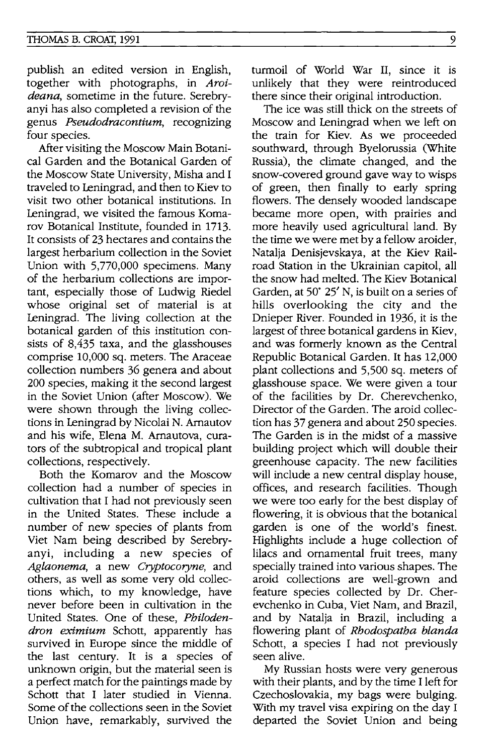publish an edited version in English, together with photographs, in *Aroideana,* sometime in the future. Serebryanyi has also completed a revision of the genus *Pseudodracontium,* recognizing four species.

After visiting the Moscow Main Botanical Garden and the Botanical Garden of the Moscow State University, Misha and I traveled to Leningrad, and then to Kiev to visit two other botanical institutions. In Leningrad, we visited the famous Komarov Botanical Institute, founded in 1713. It consists of 23 hectares and contains the largest herbarium collection in the Soviet Union with 5,770,000 specimens. Many of the herbarium collections are important, especially those of Ludwig Riedel whose original set of material is at Leningrad. The living collection at the botanical garden of this institution consists of 8,435 taxa, and the glasshouses comprise 10,000 sq. meters. The Araceae collection numbers 36 genera and about 200 species, making it the second largest in the Soviet Union (after Moscow). We were shown through the living collections in Leningrad by Nicolai N. Arnautov and his wife, Elena M. Arnautova, curators of the subtropical and tropical plant collections, respectively.

Both the Komarov and the Moscow collection had a number of species in cultivation that I had not previously seen in the United States. These include a number of new species of plants from Viet Nam being described by Serebryanyi, induding a new species of *Aglaonema,* a new *Cryptocoryne,* and others, as well as some very old collections which, to my knowledge, have never before been in cultivation in the United States. One of these, *Philodendron eximium* Schott, apparently has survived in Europe since the middle of the last century. It is a species of unknown origin, but the material seen is a perfect match for the paintings made by Schott that I later studied in Vienna. Some of the collections seen in the Soviet Union have, remarkably, survived the turmoil of World War II, since it is unlikely that they were reintroduced there since their original introduction.

The ice was still thick on the streets of Moscow and Leningrad when we left on the train for Kiev. As we proceeded southward, through Byelorussia (White Russia), the climate changed, and the snow-covered ground gave way to wisps of green, then finally to early spring flowers. The densely wooded landscape became more open, with prairies and more heavily used agricultural land. By the time we were met by a fellow aroider, Natalja Denisjevskaya, at the Kiev Railroad Station in the Ukrainian capitol, all the snow had melted. The Kiev Botanical Garden, at 50" 25' N, is built on a series of hills overlooking the city and the Dnieper River. Founded in 1936, it is the largest of three botanical gardens in Kiev, and was formerly known as the Central Republic Botanical Garden. It has 12,000 plant collections and 5,500 sq. meters of glasshouse space. We were given a tour of the facilities by Dr. Cherevchenko, Director of the Garden. The aroid collection has 37 genera and about 250 species. The Garden is in the midst of a massive building project which will double their greenhouse capacity. The new facilities will include a new central display house, offices, and research facilities. Though we were too early for the best display of flowering, it is obvious that the botanical garden is one of the world's finest. Highlights include a huge collection of lilacs and ornamental fruit trees, many specially trained into various shapes. The aroid collections are well-grown and feature species collected by Dr. Cherevchenko in Cuba, Viet Nam, and Brazil, and by Natalja in Brazil, including a flowering plant of *Rhodospatha blanda*  Schott, a species I had not previously seen alive.

My Russian hosts were very generous with their plants, and by the time I left for Czechoslovakia, my bags were bulging. With my travel visa expiring on the day I departed the Soviet Union and being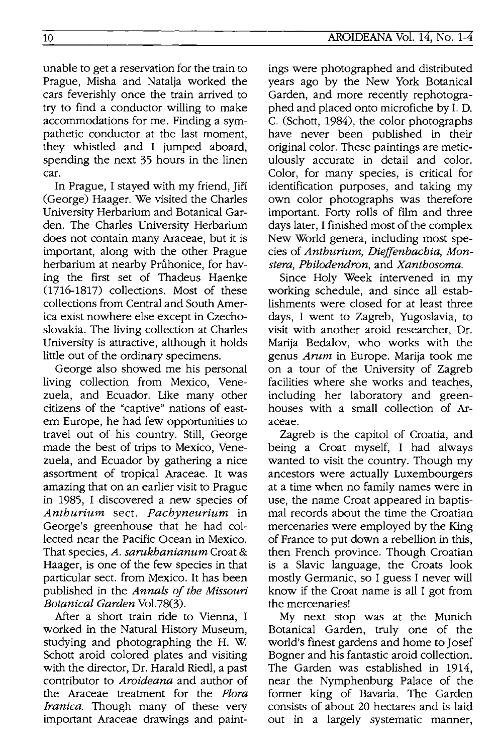unable to get a reservation for the train to Prague, Misha and Natalja worked the cars feverishly once the train arrived to try to find a conductor willing to make accommodations for me. Finding a sympathetic conductor at the last moment, they whistled and I jumped aboard, spending the next 35 hours in the linen car.

In Prague, I stayed with my friend, Jiří (George) Haager. We visited the Charles University Herbarium and Botanical Garden. The Charles University Herbarium does not contain many Araceae, but it is important, along with the other Prague herbarium at nearby Průhonice, for having the first set of Thadeus Haenke (1716-1817) collections. Most of these collections from Central and South America exist nowhere else except in Czechoslovakia. The living collection at Charles University is attractive, although it holds little out of the ordinary specimens.

George also showed me his personal living collection from Mexico, Venezuela, and Ecuador. Like many other citizens of the "captive" nations of eastern Europe, he had few opportunities to travel out of his country. Still, George made the best of trips to Mexico, Venezuela, and Ecuador by gathering a nice assortment of tropical Araceae. It was amazing that on an earlier visit to Prague in 1985, I discovered a new species of *Anthurium* sect. *Pachyneurium* in George's greenhouse that he had collected near the Pacific Ocean in Mexico. That species, *A. sarukhanianum* Croat & Haager, is one of the few species in that particular sect. from Mexico. It has been published in the *Annals of the Missouri Botanical Garden* VoI.78(3).

After a short train ride to Vienna, I worked in the Natural History Museum, studying and photographing the H. W. Schott aroid colored plates and visiting with the director, Dr. Harald Riedl, a past contributor to *Aroideana* and author of the Araceae treatment for the *Flora Iranica.* Though many of these very important Araceae drawings and paint-

ings were photographed and distributed years ago by the New York Botanical Garden, and more recently rephotographed and placed onto microfiche by I. D. C. (Schott, 1984), the color photographs have never been published in their original color. These paintings are meticulously accurate in detail and color. Color, for many species, is critical for identification purposes, and taking my own color photographs was therefore important. Forty rolls of film and three days later, I finished most of the complex New World genera, including most species of *Anthurium, Dieffenbachia, Monstera, Philodendron,* and *Xanthosoma.* 

Since Holy Week intervened in my working schedule, and since all establishments were closed for at least three days, I went to Zagreb, Yugoslavia, to visit with another aroid researcher, Dr. Marija Bedalov, who works with the genus *Arum* in Europe. Marija took me on a tour of the University of Zagreb facilities where she works and teaches, including her laboratory and greenhouses with a small collection of Araceae.

Zagreb is the capitol of Croatia, and being a Croat myself, I had always wanted to visit the country. Though my ancestors were actually Luxembourgers at a time when no family names were in use, the name Croat appeared in baptismal records about the time the Croatian mercenaries were employed by the King of France to put down a rebellion in this, then French province. Though Croatian is a Slavic language, the Croats look mostly Germanic, so I guess I never will know if the Croat name is all I got from the mercenaries!

My next stop was at the Munich Botanical Garden, truly one of the world's finest gardens and home to Josef Bogner and his fantastic aroid collection. The Garden was established in 1914, near the Nymphenburg Palace of the former king of Bavaria. The Garden consists of about 20 hectares and is laid out in a largely systematic manner,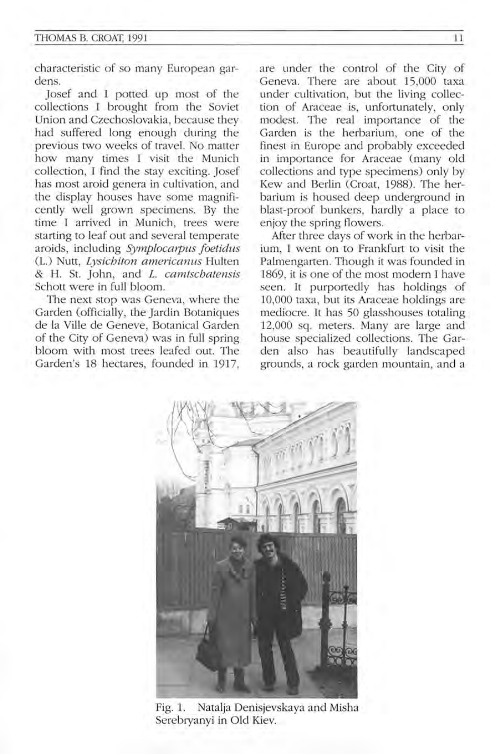characteristic of so many European gardens.

Josef and I potted up most of the collections I brought from the Soviet Union and Czechoslovakia, because they had suffered long enough during the previous two weeks of travel. No matter how many times I visit the Munich collection, I find the stay exciting. Josef has most aroid genera in cultivation, and the display houses have some magnificently well grown specimens. By the time I arrived in Munich, trees were starting to leaf out and several temperate aroids, including *Symplocarpus foetidus*  (L.) Nutt, *Lysichiton americanus* Hulten & H. St. John, and *L. camtschatensis*  Schott were in full bloom.

The next stop was Geneva, where the Garden (officially, the Jardin Botaniques de la Ville de Geneve, Botanical Garden of the City of Geneva) was in full spring bloom with most trees leafed out. The Garden's 18 hectares, founded in 1917.

are under the control of the City of Geneva. There are about 15,000 taxa under cultivation, but the living collection of Araceae is, unfortunately, only modest. The real importance of the Garden is the herbarium, one of the finest in Europe and probably exceeded in importance for Araceae (many old collections and type specimens) only by Kew and Berlin (Croat, 1988). The herbarium is housed deep underground in blast-proof bunkers, hardly a place to enjoy the spring flowers.

After three days of work in the herbarium, I went on to Frankfurt to visit the Palmengarten. Though it was founded in 1869, it is one of the most modern I have seen. **It** purportedly has holdings of 10,000 taxa, but its Araceae holdings are mediocre. It has 50 glasshouses totaling 12,000 sq. meters. Many are large and house specialized collections. The Garden also has beautifully landscaped grounds, a rock garden mountain, and a



Fig. l. Natalja Denisjevskaya and Misha Serebryanyi in Old Kiev.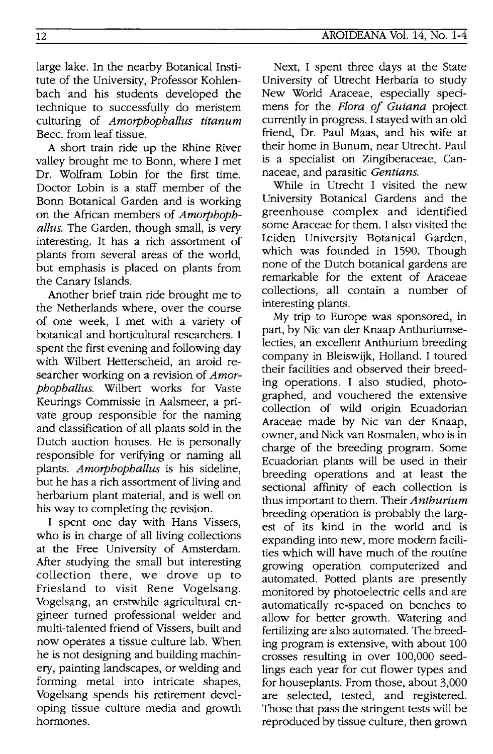large lake. In the nearby Botanical Institute of the University, Professor Kohlenbach and his students developed the technique to successfully do meristem culturing of *Amorphophallus titanum*  Becc. from leaf tissue.

A short train ride up the Rhine River valley brought me to Bonn, where I met Dr. Wolfram Lobin for the first time. Doctor Lobin is a staff member of the Bonn Botanical Garden and is working on the African members of *Amorphophallus.* The Garden, though small, is very interesting. It has a rich assortment of plants from several areas of the world, but emphasis is placed on plants from the Canary Islands.

Another brief train ride brought me to the Netherlands where, over the course of one week, I met with a variety of botanical and horticultural researchers. I spent the first evening and following day with Wilbert Hetterscheid, an aroid researcher working on a revision of *Amorphophallus.* Wilbert works for Vaste Keurings Commissie in Aalsmeer, a private group responsible for the naming and classification of all plants sold in the Dutch auction houses. He is personally responsible for verifying or naming all plants. *Amorphophallus* is his sideline, but he has a rich assortment of living and herbarium plant material, and is well on his way to completing the revision.

I spent one day with Hans Vissers, who is in charge of all living collections at the Free University of Amsterdam. After studying the small but interesting collection there, we drove up to Friesland to visit Rene Vogelsang. Vogelsang, an erstwhile agricultural engineer turned professional welder and multi-talented friend of Vissers, built and now operates a tissue culture lab. When he is not designing and building machinery, painting landscapes, or welding and forming metal into intricate shapes, Vogelsang spends his retirement developing tissue culture media and growth hormones.

Next, I spent three days at the State University of Utrecht Herbaria to study New World Araceae, especially specimens for the *Flora of Guiana* project currently in progress. I stayed with an old friend, Dr. Paul Maas, and his wife at their home in Bunum, near Utrecht. Paul is a specialist on Zingiberaceae, Cannaceae, and parasitic *Gentians.* 

While in Utrecht I visited the new University Botanical Gardens and the greenhouse complex and identified some Araceae for them. I also visited the Leiden University Botanical Garden, which was founded in 1590. Though none of the Dutch botanical gardens are remarkable for the extent of Araceae collections, all contain a number of interesting plants.

My trip to Europe was sponsored, in part, by Nic van der Knaap Anthuriumselecties, an excellent Anthurium breeding company in Bleiswijk, Holland. I toured their facilities and observed their breeding operations. I also studied, photographed, and vouchered the extensive collection of wild origin Ecuadorian Araceae made by Nic van der Knaap, owner, and Nick van Rosmalen, who is in charge of the breeding program. Some Ecuadorian plants will be used in their breeding operations and at least the sectional affinity of each collection is thus important to them. Their *Anthurium*  breeding operation is probably the largest of its kind in the world and is expanding into new, more modem facilities which will have much of the routine growing operation computerized and automated. Potted plants are presently monitored by photoelectric cells and are automatically re-spaced on benches to allow for better growth. Watering and fertilizing are also automated. The breeding program is extensive, with about 100 crosses resulting in over 100,000 seedlings each year for cut flower types and for houseplants. From those, about 3,000 are selected, tested, and registered. Those that pass the stringent tests will be reproduced by tissue culture, then grown